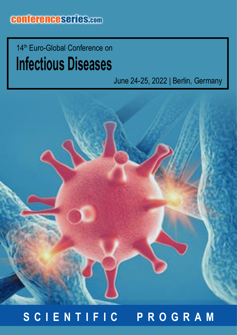**Infectious Diseases** 14<sup>th</sup> Euro-Global Conference on

## June 24-25, 2022 | Berlin, Germany



## **SCIENTIFIC PROGRAM**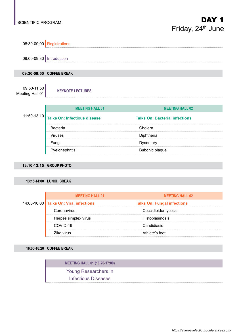

#### **13:15-14:00 LUNCH BREAK**

|  | <b>MEETING HALL 01</b>                 | <b>MEETING HALL 02</b>             |  |
|--|----------------------------------------|------------------------------------|--|
|  | 14:00-16:00 Talks On: Viral infections | <b>Talks On: Fungal infections</b> |  |
|  | Coronavirus                            | Coccidioidomycosis                 |  |
|  | Herpes simplex virus                   | Histoplasmosis                     |  |
|  | COVID-19                               | Candidiasis                        |  |
|  | Zika virus                             | Athlete's foot                     |  |

**16:00-16:20 COFFEE BREAK**

| <b>MEETING HALL 01 (16:20-17:00)</b> |  |
|--------------------------------------|--|
| Young Researchers in                 |  |
| Infectious Diseases                  |  |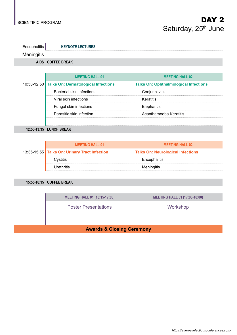

|  | <b>MEETING HALL 01</b>                          | <b>MEETING HALL 02</b>                       |
|--|-------------------------------------------------|----------------------------------------------|
|  | 10:50-12:50 Talks On: Dermatological Infections | <b>Talks On: Ophthalmological Infections</b> |
|  | <b>Bacterial skin infections</b>                | Conjunctivitis                               |
|  | Viral skin infections                           | Keratitis                                    |
|  | Fungal skin infections                          | <b>Blepharitis</b>                           |
|  | Parasitic skin infection                        | Acanthamoeba Keratitis                       |
|  |                                                 |                                              |

**12:50-13:35 LUNCH BREAK**

| <b>MEETING HALL 01</b>                        | <b>MEETING HALL 02</b>                   |
|-----------------------------------------------|------------------------------------------|
| 13:35-15:55 Talks On: Urinary Tract Infection | <b>Talks On: Neurological Infections</b> |
| Cvstitis                                      | Encephalitis                             |
| Urethritis                                    | Meningitis                               |

### **15:55-16:15 COFFEE BREAK**

**MEETING HALL 01 (16:15-17:00) MEETING HALL 01 (17:00-18:00)**

Poster Presentations **Workshop** 

### **Awards & Closing Ceremony**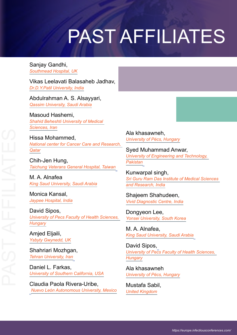# PAST AFFILIATES

Sanjay Gandhi, *Southmead Hospital, UK*

Vikas Leelavati Balasaheb Jadhav, *Dr.D.Y.Patil University, India*

Abdulrahman A. S. Alsayyari, *Qassim University, Saudi Arabia*

Masoud Hashemi, *Shahid Beheshti University of Medical Sciences, Iran*

Hissa Mohammed, *National center for Cancer Care and Research, Qatar*

Chih-Jen Hung, *Taichung Veterans General Hospital, Taiwan*

M. A. Alnafea *King Saud University, Saudi Arabia*

Monica Kansal, *Jaypee Hospital, India*

David Sipos, *University of Pecs Faculty of Health Sciences, Hungary*

Amjed Eljaili, *Ysbyty Gwynedd, UK*

Shahriari Mozhgan, *Tehran University, Iran*

Daniel L. Farkas, *University of Southern California, USA*

Claudia Paola Rivera-Uribe, *Nuevo León Autonomous University, Mexico* Ala khasawneh, *University of Pécs, Hungary*

Syed Muhammad Anwar, *University of Engineering and Technology, Pakistan*

Kunwarpal singh, *Sri Guru Ram Das Institute of Medical Sciences and Research, India*

Shajeem Shahudeen, *Vivid Diagnostic Centre, India*

Dongyeon Lee, *Yonsei University, South Korea*

M. A. Alnafea, *King Saud University, Saudi Arabia*

David Sipos, *University of Pecs Faculty of Health Sciences, Hungary*

Ala khasawneh *University of Pécs, Hungary*

Mustafa Sabil, *United Kingdom*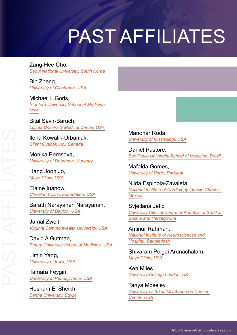# PAST AFFILIATES

Zang-Hee Cho, *Seoul National University, South Korea*

Bin Zheng, *University of Oklahoma, USA*

Michael L Goris, *Stanford University School of Medicine, USA*

Bital Savir-Baruch, *Loyola University Medical Center, USA*

Ilona Kowalik-Urbaniak, *Client Outlook Inc., Canada*

Monika Beresova, *University of Debrecen, Hungary*

Hang Joon Jo, *Mayo Clinic, USA*

Elaine Iuanow, *Cleveland Clinic Foundation, USA*

Barath Narayanan Narayanan, *University of Dayton, USA*

Jamal Zweit, *Virginia Commonwealth University, USA*

David A Gutman, *Emory University School of Medicine, USA*

Limin Yang, *University of Iowa, USA*

Tamara Feygin, *University of Pennsylvania, USA*

Hesham El Sheikh, *Benha University, Egypt*

Manohar Roda, *University of Mississippi, USA*

Daniel Pastore, *Sao Paulo University School of Medicine, Brazil*

Mafalda Gomes, *University of Porto, Portugal*

Nilda Espinola-Zavaleta, *National Institute of Cardiology Ignacio Chavez, Mexico*

Svjetlana Jefic, *University Clinical Centre of Repablic of Srpska, Bosnia and Herzegovina*

Aminur Rahman, *National Institute of Neurosciences and Hospital, Bangladesh*

Shivaram Poigai Arunachalam, *Mayo Clinic, USA*

Ken Miles *University College London, UK*

Tanya Moseley *University of Texas MD Anderson Cancer Centre, USA*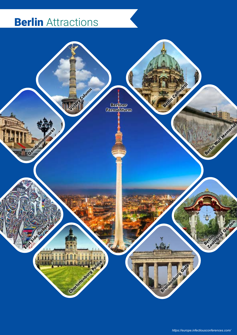## **Berlin** Attractions